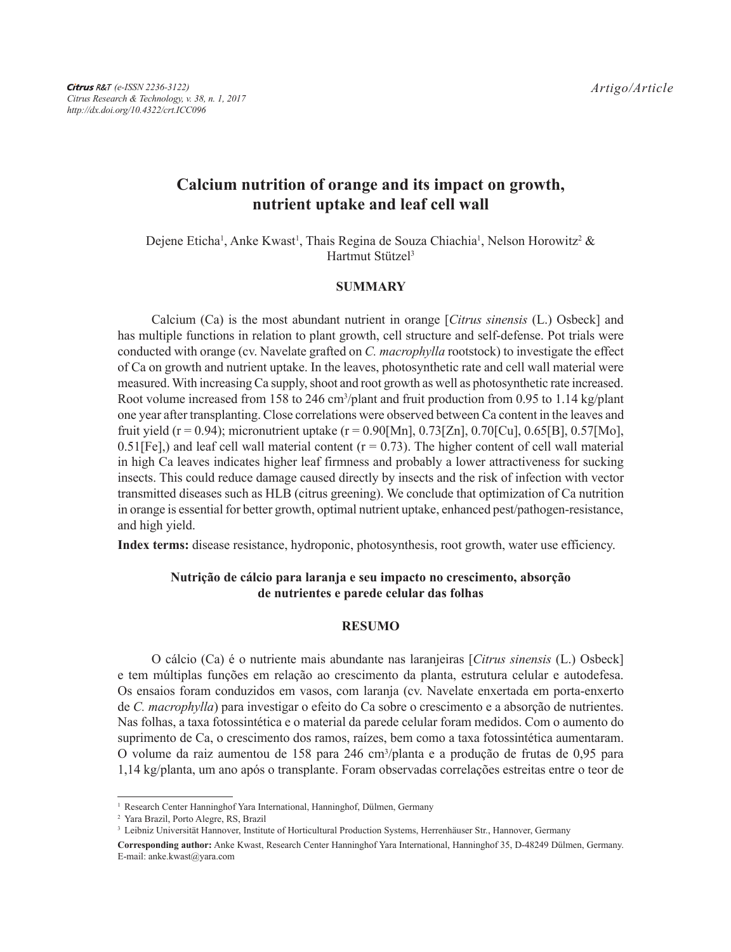# **Calcium nutrition of orange and its impact on growth, nutrient uptake and leaf cell wall**

Dejene Eticha<sup>1</sup>, Anke Kwast<sup>1</sup>, Thais Regina de Souza Chiachia<sup>1</sup>, Nelson Horowitz<sup>2</sup> & Hartmut Stützel<sup>3</sup>

## **SUMMARY**

Calcium (Ca) is the most abundant nutrient in orange [*Citrus sinensis* (L.) Osbeck] and has multiple functions in relation to plant growth, cell structure and self-defense. Pot trials were conducted with orange (cv. Navelate grafted on *C. macrophylla* rootstock) to investigate the effect of Ca on growth and nutrient uptake. In the leaves, photosynthetic rate and cell wall material were measured. With increasing Ca supply, shoot and root growth as well as photosynthetic rate increased. Root volume increased from 158 to 246 cm<sup>3</sup>/plant and fruit production from 0.95 to 1.14 kg/plant one year after transplanting. Close correlations were observed between Ca content in the leaves and fruit yield (r = 0.94); micronutrient uptake (r = 0.90[Mn], 0.73[Zn], 0.70[Cu], 0.65[B], 0.57[Mo], 0.51[Fe],) and leaf cell wall material content  $(r = 0.73)$ . The higher content of cell wall material in high Ca leaves indicates higher leaf firmness and probably a lower attractiveness for sucking insects. This could reduce damage caused directly by insects and the risk of infection with vector transmitted diseases such as HLB (citrus greening). We conclude that optimization of Ca nutrition in orange is essential for better growth, optimal nutrient uptake, enhanced pest/pathogen-resistance, and high yield.

**Index terms:** disease resistance, hydroponic, photosynthesis, root growth, water use efficiency.

# **Nutrição de cálcio para laranja e seu impacto no crescimento, absorção de nutrientes e parede celular das folhas**

#### **RESUMO**

O cálcio (Ca) é o nutriente mais abundante nas laranjeiras [*Citrus sinensis* (L.) Osbeck] e tem múltiplas funções em relação ao crescimento da planta, estrutura celular e autodefesa. Os ensaios foram conduzidos em vasos, com laranja (cv. Navelate enxertada em porta-enxerto de *C. macrophylla*) para investigar o efeito do Ca sobre o crescimento e a absorção de nutrientes. Nas folhas, a taxa fotossintética e o material da parede celular foram medidos. Com o aumento do suprimento de Ca, o crescimento dos ramos, raízes, bem como a taxa fotossintética aumentaram. O volume da raiz aumentou de 158 para 246 cm3 /planta e a produção de frutas de 0,95 para 1,14 kg/planta, um ano após o transplante. Foram observadas correlações estreitas entre o teor de

<sup>&</sup>lt;sup>1</sup> Research Center Hanninghof Yara International, Hanninghof, Dülmen, Germany

<sup>2</sup> Yara Brazil, Porto Alegre, RS, Brazil

<sup>3</sup> Leibniz Universität Hannover, Institute of Horticultural Production Systems, Herrenhäuser Str., Hannover, Germany

**Corresponding author:** Anke Kwast, Research Center Hanninghof Yara International, Hanninghof 35, D-48249 Dülmen, Germany. E-mail: anke.kwast@yara.com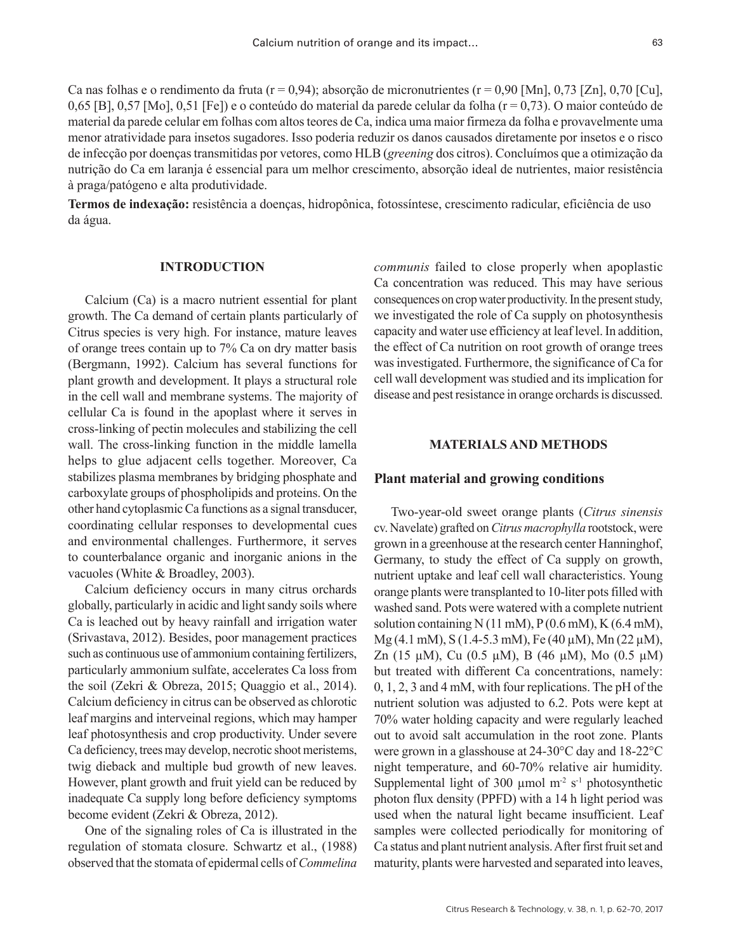Ca nas folhas e o rendimento da fruta (r = 0,94); absorção de micronutrientes (r = 0,90 [Mn], 0,73 [Zn], 0,70 [Cu], 0,65 [B], 0,57 [Mo], 0,51 [Fe]) e o conteúdo do material da parede celular da folha (r = 0,73). O maior conteúdo de material da parede celular em folhas com altos teores de Ca, indica uma maior firmeza da folha e provavelmente uma menor atratividade para insetos sugadores. Isso poderia reduzir os danos causados diretamente por insetos e o risco de infecção por doenças transmitidas por vetores, como HLB (*greening* dos citros). Concluímos que a otimização da nutrição do Ca em laranja é essencial para um melhor crescimento, absorção ideal de nutrientes, maior resistência à praga/patógeno e alta produtividade.

**Termos de indexação:** resistência a doenças, hidropônica, fotossíntese, crescimento radicular, eficiência de uso da água.

#### **INTRODUCTION**

Calcium (Ca) is a macro nutrient essential for plant growth. The Ca demand of certain plants particularly of Citrus species is very high. For instance, mature leaves of orange trees contain up to 7% Ca on dry matter basis (Bergmann, 1992). Calcium has several functions for plant growth and development. It plays a structural role in the cell wall and membrane systems. The majority of cellular Ca is found in the apoplast where it serves in cross-linking of pectin molecules and stabilizing the cell wall. The cross-linking function in the middle lamella helps to glue adjacent cells together. Moreover, Ca stabilizes plasma membranes by bridging phosphate and carboxylate groups of phospholipids and proteins. On the other hand cytoplasmic Ca functions as a signal transducer, coordinating cellular responses to developmental cues and environmental challenges. Furthermore, it serves to counterbalance organic and inorganic anions in the vacuoles (White & Broadley, 2003).

Calcium deficiency occurs in many citrus orchards globally, particularly in acidic and light sandy soils where Ca is leached out by heavy rainfall and irrigation water (Srivastava, 2012). Besides, poor management practices such as continuous use of ammonium containing fertilizers, particularly ammonium sulfate, accelerates Ca loss from the soil (Zekri & Obreza, 2015; Quaggio et al., 2014). Calcium deficiency in citrus can be observed as chlorotic leaf margins and interveinal regions, which may hamper leaf photosynthesis and crop productivity. Under severe Ca deficiency, trees may develop, necrotic shoot meristems, twig dieback and multiple bud growth of new leaves. However, plant growth and fruit yield can be reduced by inadequate Ca supply long before deficiency symptoms become evident (Zekri & Obreza, 2012).

One of the signaling roles of Ca is illustrated in the regulation of stomata closure. Schwartz et al., (1988) observed that the stomata of epidermal cells of *Commelina* 

*communis* failed to close properly when apoplastic Ca concentration was reduced. This may have serious consequences on crop water productivity. In the present study, we investigated the role of Ca supply on photosynthesis capacity and water use efficiency at leaf level. In addition, the effect of Ca nutrition on root growth of orange trees was investigated. Furthermore, the significance of Ca for cell wall development was studied and its implication for disease and pest resistance in orange orchards is discussed.

#### **MATERIALS AND METHODS**

### **Plant material and growing conditions**

Two-year-old sweet orange plants (*Citrus sinensis* cv. Navelate) grafted on *Citrus macrophylla* rootstock, were grown in a greenhouse at the research center Hanninghof, Germany, to study the effect of Ca supply on growth, nutrient uptake and leaf cell wall characteristics. Young orange plants were transplanted to 10-liter pots filled with washed sand. Pots were watered with a complete nutrient solution containing N (11 mM),  $P(0.6$  mM), K (6.4 mM),  $Mg$  (4.1 mM), S (1.4-5.3 mM), Fe (40 µM), Mn (22 µM), Zn (15  $\mu$ M), Cu (0.5  $\mu$ M), B (46  $\mu$ M), Mo (0.5  $\mu$ M) but treated with different Ca concentrations, namely: 0, 1, 2, 3 and 4 mM, with four replications. The pH of the nutrient solution was adjusted to 6.2. Pots were kept at 70% water holding capacity and were regularly leached out to avoid salt accumulation in the root zone. Plants were grown in a glasshouse at 24-30°C day and 18-22°C night temperature, and 60-70% relative air humidity. Supplemental light of 300  $\mu$ mol m<sup>-2</sup> s<sup>-1</sup> photosynthetic photon flux density (PPFD) with a 14 h light period was used when the natural light became insufficient. Leaf samples were collected periodically for monitoring of Ca status and plant nutrient analysis. After first fruit set and maturity, plants were harvested and separated into leaves,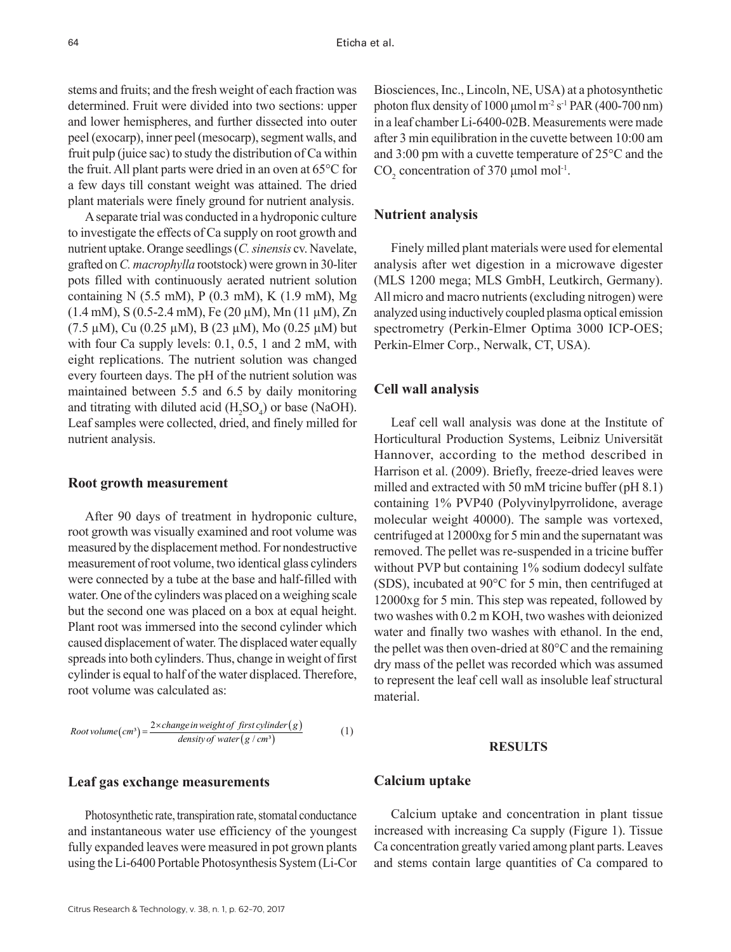stems and fruits; and the fresh weight of each fraction was determined. Fruit were divided into two sections: upper and lower hemispheres, and further dissected into outer peel (exocarp), inner peel (mesocarp), segment walls, and fruit pulp (juice sac) to study the distribution of Ca within the fruit. All plant parts were dried in an oven at 65°C for a few days till constant weight was attained. The dried plant materials were finely ground for nutrient analysis.

A separate trial was conducted in a hydroponic culture to investigate the effects of Ca supply on root growth and nutrient uptake. Orange seedlings (*C. sinensis* cv. Navelate, grafted on *C. macrophylla* rootstock) were grown in 30-liter pots filled with continuously aerated nutrient solution containing N (5.5 mM), P (0.3 mM), K (1.9 mM), Mg  $(1.4 \text{ mM})$ , S $(0.5{\text -}2.4 \text{ mM})$ , Fe $(20 \mu\text{M})$ , Mn $(11 \mu\text{M})$ , Zn  $(7.5 \mu M)$ , Cu  $(0.25 \mu M)$ , B  $(23 \mu M)$ , Mo  $(0.25 \mu M)$  but with four Ca supply levels: 0.1, 0.5, 1 and 2 mM, with eight replications. The nutrient solution was changed every fourteen days. The pH of the nutrient solution was maintained between 5.5 and 6.5 by daily monitoring and titrating with diluted acid  $(H_2SO_4)$  or base (NaOH). Leaf samples were collected, dried, and finely milled for nutrient analysis.

#### **Root growth measurement**

After 90 days of treatment in hydroponic culture, root growth was visually examined and root volume was measured by the displacement method. For nondestructive measurement of root volume, two identical glass cylinders were connected by a tube at the base and half-filled with water. One of the cylinders was placed on a weighing scale but the second one was placed on a box at equal height. Plant root was immersed into the second cylinder which caused displacement of water. The displaced water equally spreads into both cylinders. Thus, change in weight of first cylinder is equal to half of the water displaced. Therefore, root volume was calculated as:

Root volume 
$$
(cm^3)
$$
 =  $\frac{2 \times change \text{ in weight of } first \text{ cylinder}(g)}{density \text{ of water}(g \text{ / cm}^3)}$  (1)

# **Leaf gas exchange measurements**

Photosynthetic rate, transpiration rate, stomatal conductance and instantaneous water use efficiency of the youngest fully expanded leaves were measured in pot grown plants using the Li-6400 Portable Photosynthesis System (Li-Cor

Biosciences, Inc., Lincoln, NE, USA) at a photosynthetic photon flux density of 1000 μmol m<sup>-2</sup> s<sup>-1</sup> PAR (400-700 nm) in a leaf chamber Li-6400-02B. Measurements were made after 3 min equilibration in the cuvette between 10:00 am and 3:00 pm with a cuvette temperature of 25°C and the  $CO<sub>2</sub>$  concentration of 370 µmol mol<sup>-1</sup>.

# **Nutrient analysis**

Finely milled plant materials were used for elemental analysis after wet digestion in a microwave digester (MLS 1200 mega; MLS GmbH, Leutkirch, Germany). All micro and macro nutrients (excluding nitrogen) were analyzed using inductively coupled plasma optical emission spectrometry (Perkin-Elmer Optima 3000 ICP-OES; Perkin-Elmer Corp., Nerwalk, CT, USA).

## **Cell wall analysis**

Leaf cell wall analysis was done at the Institute of Horticultural Production Systems, Leibniz Universität Hannover, according to the method described in Harrison et al. (2009). Briefly, freeze-dried leaves were milled and extracted with 50 mM tricine buffer (pH 8.1) containing 1% PVP40 (Polyvinylpyrrolidone, average molecular weight 40000). The sample was vortexed, centrifuged at 12000xg for 5 min and the supernatant was removed. The pellet was re-suspended in a tricine buffer without PVP but containing 1% sodium dodecyl sulfate (SDS), incubated at 90°C for 5 min, then centrifuged at 12000xg for 5 min. This step was repeated, followed by two washes with 0.2 m KOH, two washes with deionized water and finally two washes with ethanol. In the end, the pellet was then oven-dried at 80°C and the remaining dry mass of the pellet was recorded which was assumed to represent the leaf cell wall as insoluble leaf structural material.

#### **RESULTS**

# **Calcium uptake**

Calcium uptake and concentration in plant tissue increased with increasing Ca supply (Figure 1). Tissue Ca concentration greatly varied among plant parts. Leaves and stems contain large quantities of Ca compared to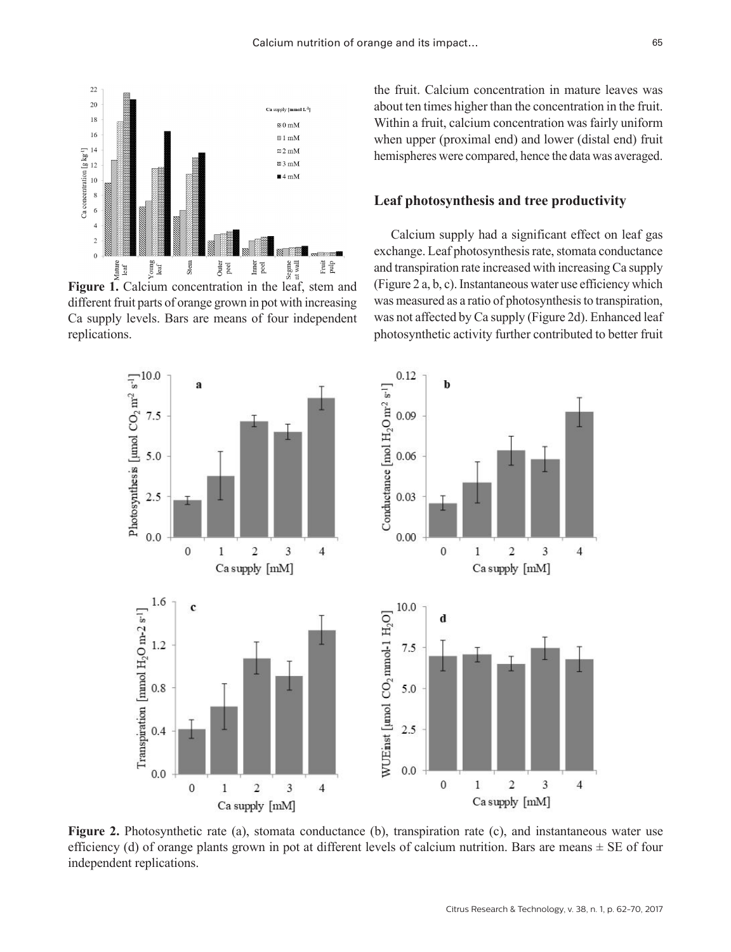

different fruit parts of orange grown in pot with increasing Ca supply levels. Bars are means of four independent replications.

the fruit. Calcium concentration in mature leaves was about ten times higher than the concentration in the fruit. Within a fruit, calcium concentration was fairly uniform when upper (proximal end) and lower (distal end) fruit hemispheres were compared, hence the data was averaged.

# **Leaf photosynthesis and tree productivity**

Calcium supply had a significant effect on leaf gas exchange. Leaf photosynthesis rate, stomata conductance and transpiration rate increased with increasing Ca supply (Figure 2 a, b, c). Instantaneous water use efficiency which was measured as a ratio of photosynthesis to transpiration, was not affected by Ca supply (Figure 2d). Enhanced leaf photosynthetic activity further contributed to better fruit



**Figure 2.** Photosynthetic rate (a), stomata conductance (b), transpiration rate (c), and instantaneous water use efficiency (d) of orange plants grown in pot at different levels of calcium nutrition. Bars are means  $\pm$  SE of four independent replications.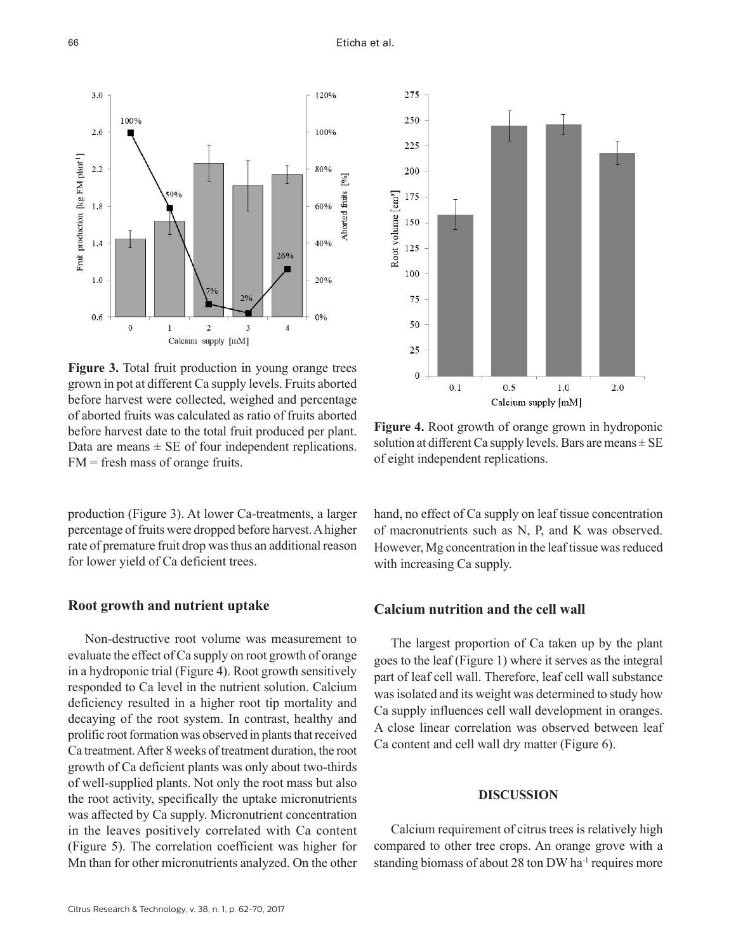

**Figure 3.** Total fruit production in young orange trees grown in pot at different Ca supply levels. Fruits aborted before harvest were collected, weighed and percentage of aborted fruits was calculated as ratio of fruits aborted before harvest date to the total fruit produced per plant. Data are means  $\pm$  SE of four independent replications. FM = fresh mass of orange fruits.

production (Figure 3). At lower Ca-treatments, a larger percentage of fruits were dropped before harvest. A higher rate of premature fruit drop was thus an additional reason for lower yield of Ca deficient trees.

## **Root growth and nutrient uptake**

Non-destructive root volume was measurement to evaluate the effect of Ca supply on root growth of orange in a hydroponic trial (Figure 4). Root growth sensitively responded to Ca level in the nutrient solution. Calcium deficiency resulted in a higher root tip mortality and decaying of the root system. In contrast, healthy and prolific root formation was observed in plants that received Ca treatment. After 8 weeks of treatment duration, the root growth of Ca deficient plants was only about two-thirds of well-supplied plants. Not only the root mass but also the root activity, specifically the uptake micronutrients was affected by Ca supply. Micronutrient concentration in the leaves positively correlated with Ca content (Figure 5). The correlation coefficient was higher for Mn than for other micronutrients analyzed. On the other



**Figure 4.** Root growth of orange grown in hydroponic solution at different Ca supply levels. Bars are means  $\pm$  SE of eight independent replications.

hand, no effect of Ca supply on leaf tissue concentration of macronutrients such as N, P, and K was observed. However, Mg concentration in the leaf tissue was reduced with increasing Ca supply.

# **Calcium nutrition and the cell wall**

The largest proportion of Ca taken up by the plant goes to the leaf (Figure 1) where it serves as the integral part of leaf cell wall. Therefore, leaf cell wall substance was isolated and its weight was determined to study how Ca supply influences cell wall development in oranges. A close linear correlation was observed between leaf Ca content and cell wall dry matter (Figure 6).

## **DISCUSSION**

Calcium requirement of citrus trees is relatively high compared to other tree crops. An orange grove with a standing biomass of about 28 ton DW ha<sup>-1</sup> requires more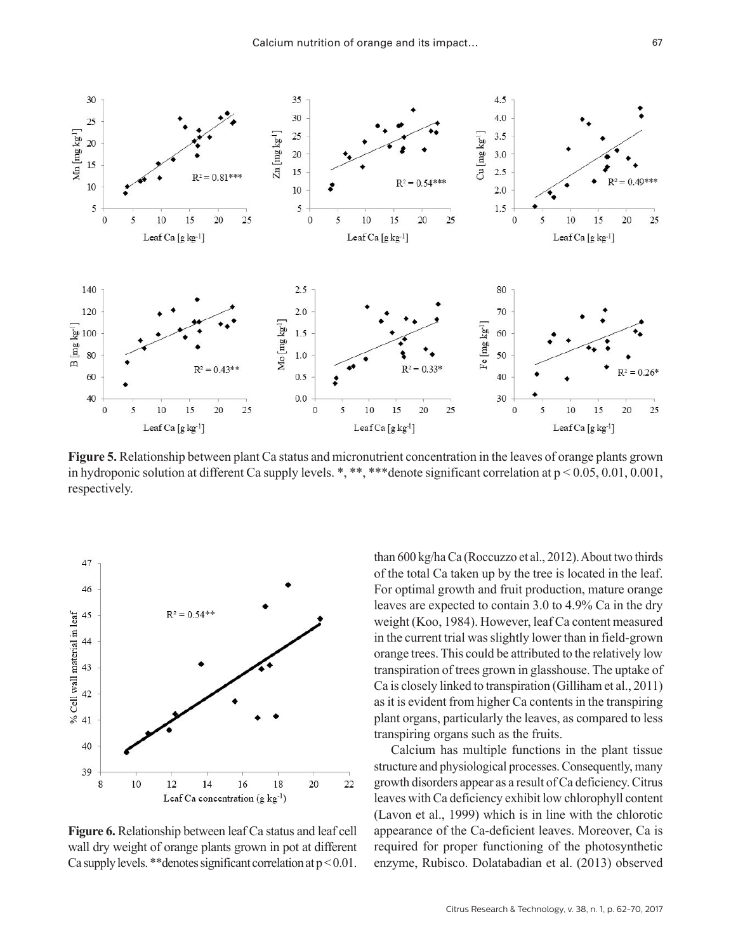

**Figure 5.** Relationship between plant Ca status and micronutrient concentration in the leaves of orange plants grown in hydroponic solution at different Ca supply levels. \*, \*\*, \*\*\* denote significant correlation at  $p < 0.05, 0.01, 0.001$ , respectively.



**Figure 6.** Relationship between leaf Ca status and leaf cell wall dry weight of orange plants grown in pot at different Ca supply levels. \*\*denotes significant correlation at  $p < 0.01$ .

than 600 kg/ha Ca (Roccuzzo et al., 2012). About two thirds of the total Ca taken up by the tree is located in the leaf. For optimal growth and fruit production, mature orange leaves are expected to contain 3.0 to 4.9% Ca in the dry weight (Koo, 1984). However, leaf Ca content measured in the current trial was slightly lower than in field-grown orange trees. This could be attributed to the relatively low transpiration of trees grown in glasshouse. The uptake of Ca is closely linked to transpiration (Gilliham et al., 2011) as it is evident from higher Ca contents in the transpiring plant organs, particularly the leaves, as compared to less transpiring organs such as the fruits.

Calcium has multiple functions in the plant tissue structure and physiological processes. Consequently, many growth disorders appear as a result of Ca deficiency. Citrus leaves with Ca deficiency exhibit low chlorophyll content (Lavon et al., 1999) which is in line with the chlorotic appearance of the Ca-deficient leaves. Moreover, Ca is required for proper functioning of the photosynthetic enzyme, Rubisco. Dolatabadian et al. (2013) observed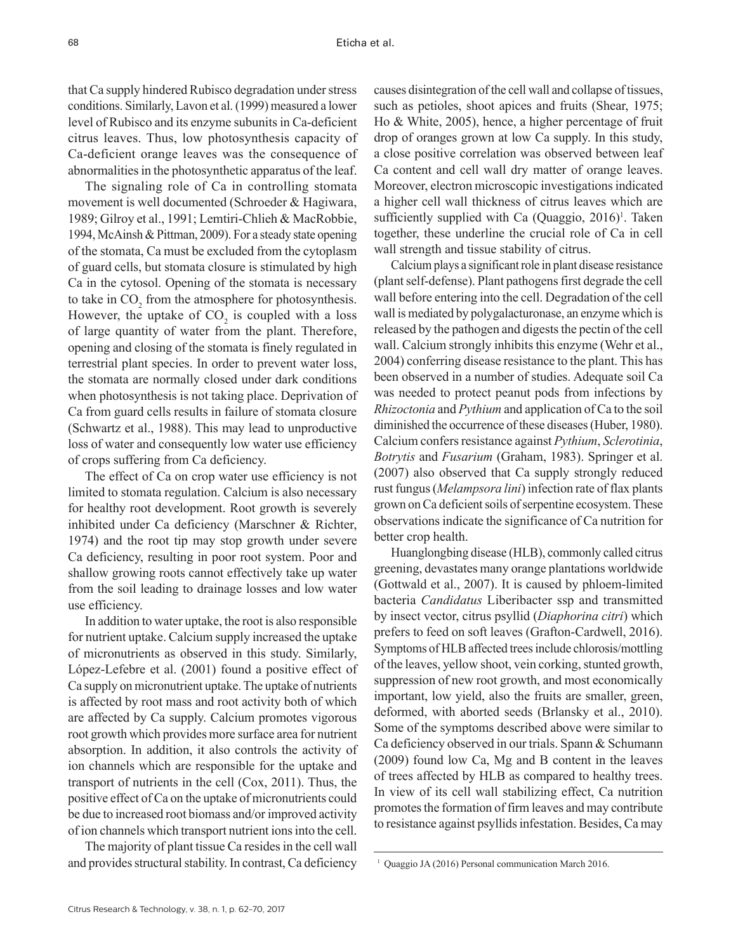that Ca supply hindered Rubisco degradation under stress conditions. Similarly, Lavon et al. (1999) measured a lower level of Rubisco and its enzyme subunits in Ca-deficient citrus leaves. Thus, low photosynthesis capacity of Ca-deficient orange leaves was the consequence of abnormalities in the photosynthetic apparatus of the leaf.

The signaling role of Ca in controlling stomata movement is well documented (Schroeder & Hagiwara, 1989; Gilroy et al., 1991; Lemtiri-Chlieh & MacRobbie, 1994, McAinsh & Pittman, 2009). For a steady state opening of the stomata, Ca must be excluded from the cytoplasm of guard cells, but stomata closure is stimulated by high Ca in the cytosol. Opening of the stomata is necessary to take in  $CO_2$  from the atmosphere for photosynthesis. However, the uptake of  $CO<sub>2</sub>$  is coupled with a loss of large quantity of water from the plant. Therefore, opening and closing of the stomata is finely regulated in terrestrial plant species. In order to prevent water loss, the stomata are normally closed under dark conditions when photosynthesis is not taking place. Deprivation of Ca from guard cells results in failure of stomata closure (Schwartz et al., 1988). This may lead to unproductive loss of water and consequently low water use efficiency of crops suffering from Ca deficiency.

The effect of Ca on crop water use efficiency is not limited to stomata regulation. Calcium is also necessary for healthy root development. Root growth is severely inhibited under Ca deficiency (Marschner & Richter, 1974) and the root tip may stop growth under severe Ca deficiency, resulting in poor root system. Poor and shallow growing roots cannot effectively take up water from the soil leading to drainage losses and low water use efficiency.

In addition to water uptake, the root is also responsible for nutrient uptake. Calcium supply increased the uptake of micronutrients as observed in this study. Similarly, López-Lefebre et al. (2001) found a positive effect of Ca supply on micronutrient uptake. The uptake of nutrients is affected by root mass and root activity both of which are affected by Ca supply. Calcium promotes vigorous root growth which provides more surface area for nutrient absorption. In addition, it also controls the activity of ion channels which are responsible for the uptake and transport of nutrients in the cell (Cox, 2011). Thus, the positive effect of Ca on the uptake of micronutrients could be due to increased root biomass and/or improved activity of ion channels which transport nutrient ions into the cell.

The majority of plant tissue Ca resides in the cell wall and provides structural stability. In contrast, Ca deficiency causes disintegration of the cell wall and collapse of tissues, such as petioles, shoot apices and fruits (Shear, 1975; Ho & White, 2005), hence, a higher percentage of fruit drop of oranges grown at low Ca supply. In this study, a close positive correlation was observed between leaf Ca content and cell wall dry matter of orange leaves. Moreover, electron microscopic investigations indicated a higher cell wall thickness of citrus leaves which are sufficiently supplied with Ca  $(Quaggio, 2016)^T$ . Taken together, these underline the crucial role of Ca in cell wall strength and tissue stability of citrus.

Calcium plays a significant role in plant disease resistance (plant self-defense). Plant pathogens first degrade the cell wall before entering into the cell. Degradation of the cell wall is mediated by polygalacturonase, an enzyme which is released by the pathogen and digests the pectin of the cell wall. Calcium strongly inhibits this enzyme (Wehr et al., 2004) conferring disease resistance to the plant. This has been observed in a number of studies. Adequate soil Ca was needed to protect peanut pods from infections by *Rhizoctonia* and *Pythium* and application of Ca to the soil diminished the occurrence of these diseases (Huber, 1980). Calcium confers resistance against *Pythium*, *Sclerotinia*, *Botrytis* and *Fusarium* (Graham, 1983). Springer et al. (2007) also observed that Ca supply strongly reduced rust fungus (*Melampsora lini*) infection rate of flax plants grown on Ca deficient soils of serpentine ecosystem. These observations indicate the significance of Ca nutrition for better crop health.

Huanglongbing disease (HLB), commonly called citrus greening, devastates many orange plantations worldwide (Gottwald et al., 2007). It is caused by phloem-limited bacteria *Candidatus* Liberibacter ssp and transmitted by insect vector, citrus psyllid (*Diaphorina citri*) which prefers to feed on soft leaves (Grafton-Cardwell, 2016). Symptoms of HLB affected trees include chlorosis/mottling of the leaves, yellow shoot, vein corking, stunted growth, suppression of new root growth, and most economically important, low yield, also the fruits are smaller, green, deformed, with aborted seeds (Brlansky et al., 2010). Some of the symptoms described above were similar to Ca deficiency observed in our trials. Spann & Schumann (2009) found low Ca, Mg and B content in the leaves of trees affected by HLB as compared to healthy trees. In view of its cell wall stabilizing effect, Ca nutrition promotes the formation of firm leaves and may contribute to resistance against psyllids infestation. Besides, Ca may

<sup>1</sup> Quaggio JA (2016) Personal communication March 2016.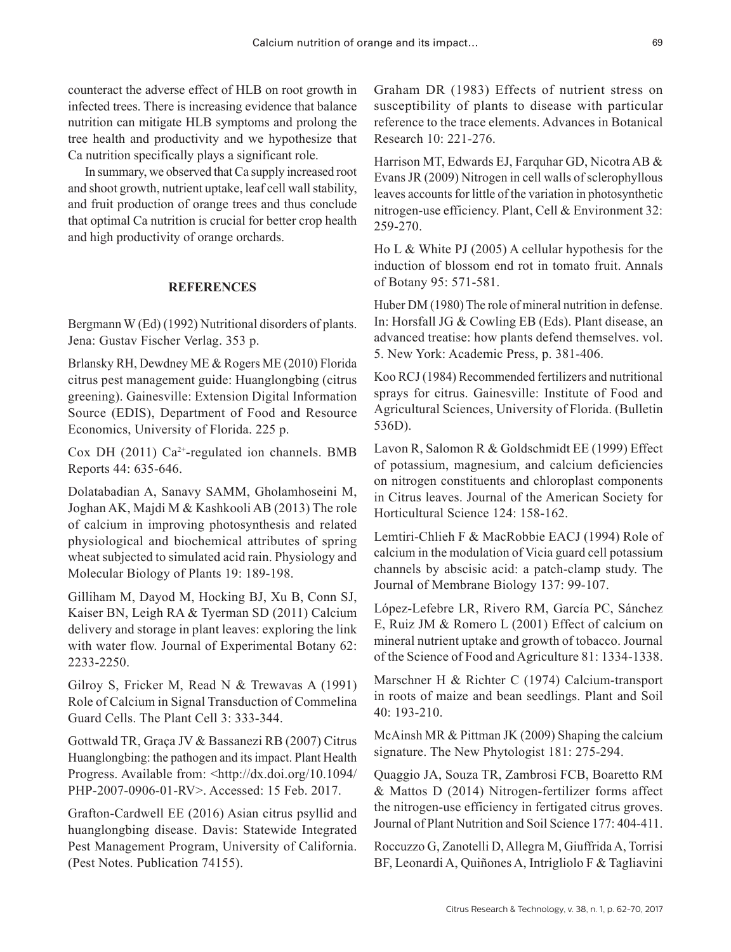counteract the adverse effect of HLB on root growth in infected trees. There is increasing evidence that balance nutrition can mitigate HLB symptoms and prolong the tree health and productivity and we hypothesize that Ca nutrition specifically plays a significant role.

In summary, we observed that Ca supply increased root and shoot growth, nutrient uptake, leaf cell wall stability, and fruit production of orange trees and thus conclude that optimal Ca nutrition is crucial for better crop health and high productivity of orange orchards.

# **REFERENCES**

Bergmann W (Ed) (1992) Nutritional disorders of plants. Jena: Gustav Fischer Verlag. 353 p.

Brlansky RH, Dewdney ME & Rogers ME (2010) Florida citrus pest management guide: Huanglongbing (citrus greening). Gainesville: Extension Digital Information Source (EDIS), Department of Food and Resource Economics, University of Florida. 225 p.

Cox DH (2011)  $Ca^{2+}$ -regulated ion channels. BMB Reports 44: 635-646.

Dolatabadian A, Sanavy SAMM, Gholamhoseini M, Joghan AK, Majdi M & Kashkooli AB (2013) The role of calcium in improving photosynthesis and related physiological and biochemical attributes of spring wheat subjected to simulated acid rain. Physiology and Molecular Biology of Plants 19: 189-198.

Gilliham M, Dayod M, Hocking BJ, Xu B, Conn SJ, Kaiser BN, Leigh RA & Tyerman SD (2011) Calcium delivery and storage in plant leaves: exploring the link with water flow. Journal of Experimental Botany 62: 2233-2250.

Gilroy S, Fricker M, Read N & Trewavas A (1991) Role of Calcium in Signal Transduction of Commelina Guard Cells. The Plant Cell 3: 333-344.

Gottwald TR, Graça JV & Bassanezi RB (2007) Citrus Huanglongbing: the pathogen and its impact. Plant Health Progress. Available from: <[http://dx.doi.org/10.1094/](http://dx.doi.org/10.1094/PHP-2007-0906-01-RV) [PHP-2007-0906-01-RV](http://dx.doi.org/10.1094/PHP-2007-0906-01-RV)>. Accessed: 15 Feb. 2017.

Grafton-Cardwell EE (2016) Asian citrus psyllid and huanglongbing disease. Davis: Statewide Integrated Pest Management Program, University of California. (Pest Notes. Publication 74155).

Graham DR (1983) Effects of nutrient stress on susceptibility of plants to disease with particular reference to the trace elements. Advances in Botanical Research 10: 221-276.

Harrison MT, Edwards EJ, Farquhar GD, Nicotra AB & Evans JR (2009) Nitrogen in cell walls of sclerophyllous leaves accounts for little of the variation in photosynthetic nitrogen-use efficiency. Plant, Cell & Environment 32: 259-270.

Ho L & White PJ (2005) A cellular hypothesis for the induction of blossom end rot in tomato fruit. Annals of Botany 95: 571-581.

Huber DM (1980) The role of mineral nutrition in defense. In: Horsfall JG & Cowling EB (Eds). Plant disease, an advanced treatise: how plants defend themselves. vol. 5. New York: Academic Press, p. 381-406.

Koo RCJ (1984) Recommended fertilizers and nutritional sprays for citrus. Gainesville: Institute of Food and Agricultural Sciences, University of Florida. (Bulletin 536D).

Lavon R, Salomon R & Goldschmidt EE (1999) Effect of potassium, magnesium, and calcium deficiencies on nitrogen constituents and chloroplast components in Citrus leaves. Journal of the American Society for Horticultural Science 124: 158-162.

Lemtiri-Chlieh F & MacRobbie EACJ (1994) Role of calcium in the modulation of Vicia guard cell potassium channels by abscisic acid: a patch-clamp study. The Journal of Membrane Biology 137: 99-107.

López-Lefebre LR, Rivero RM, García PC, Sánchez E, Ruiz JM & Romero L (2001) Effect of calcium on mineral nutrient uptake and growth of tobacco. Journal of the Science of Food and Agriculture 81: 1334-1338.

Marschner H & Richter C (1974) Calcium-transport in roots of maize and bean seedlings. Plant and Soil 40: 193-210.

McAinsh MR & Pittman JK (2009) Shaping the calcium signature. The New Phytologist 181: 275-294.

Quaggio JA, Souza TR, Zambrosi FCB, Boaretto RM & Mattos D (2014) Nitrogen-fertilizer forms affect the nitrogen-use efficiency in fertigated citrus groves. Journal of Plant Nutrition and Soil Science 177: 404-411.

Roccuzzo G, Zanotelli D, Allegra M, Giuffrida A, Torrisi BF, Leonardi A, Quiñones A, Intrigliolo F & Tagliavini